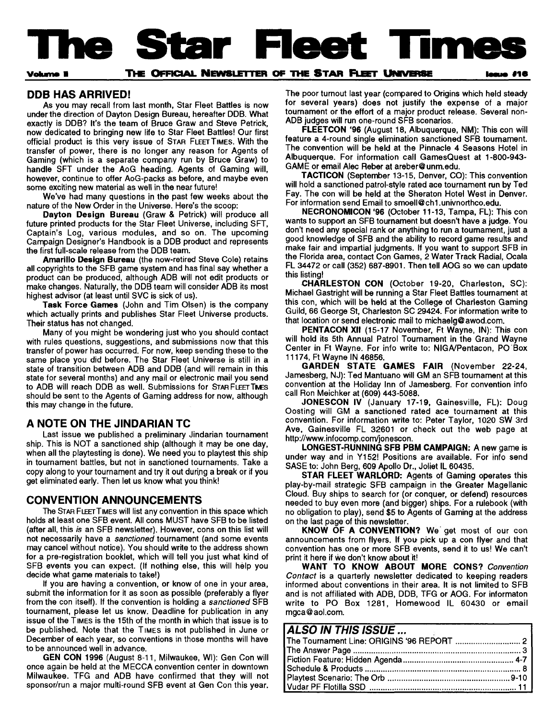<span id="page-0-0"></span>**The Star Fleet Times**

### **vohme I THE OFFICIAL NEWSLETTER OF THE STAR FLEET UNIVERSE**

## **DDB HAS ARRIVED!**

As you may recall from last month, Star Fleet Battles is now under the direction of Dayton Design Bureau, here after DDB. What exactly is DDB? It's the team of Bruce Graw and Steve Petrick, now dedicated to bringing new life to Star Fleet Battles! Our first official product is this very issue of STAR FLEET TIMES. With the transfer of power, there is no longer any reason for Agents of Gaming (which is a separate company run by Bruce Graw) to handle SFT under the AoG heading. Agents of Gaming will, however, continue to offer AoG-packs as before, and maybe even some exciting new material as well in the near future!

We've had many questions in the past few weeks about the nature of the New Order in the Universe. Here's the scoop:

Dayton Design Bureau (Graw & Petrick) will produce all future printed products for the Star Fleet Universe, including SFT, Captain's Log, various modules, and so on. The upcoming Campaign Designer's Handbook is a DDB product and represents the first full-scale release from the DDB team.

Amarillo Design Bureau (the now-retired Steve Cole) retains all copyrights to the SFB game system and has final say whether a product can be produced, although ADB will not edit products or make changes. Naturally, the DDB team will consider ADB its most highest advisor (at least until SVC is sick of us).

Task Force Games (John and Tim Olsen) is the company which actually prints and publishes Star Fleet Universe products. Their status has not changed.

Many of you might be wondering just who you should contact with rules questions, suggestions, and submissions now that this transfer of power has occurred. For now, keep sending these to the same place you did before. The Star Fleet Universe is still in a state of transition between ADB and DDB (and will remain in this state for several months) and any mail or electronic mail you send to ADB will reach DDB as well. Submissions for STAR FLEET TMES should be sent to the Agents of Gaming address for now, although this may change in the future.

# **A NOTE ON THE JINDARIAN TC**

Last issue we published a preliminary Jindarian tournament ship. This is NOT a sanctioned ship (although it may be one day, when all the playtesting is done). We need you to playtest this ship in tournament battles, but not in sanctioned tournaments. Take a copy along to your tournament and try it out during a break or if you get eliminated early. Then let us know what you think!

# **CONVENTION ANNOUNCEMENTS**

The STAR FLEET TIMES will list any convention in this space which holds at least one SFB event. All cons MUST have SFB to be listed (after all, this is an SFB newsletter). However, cons on this list will not necessarily have a sanctioned tournament (and some events may cancel without notice). You should write to the address shown for a pre-registration booklet, which will tell you just what kind of SFB events you can expect. (If nothing else, this will help you decide what game materials to take!)

If you are having a convention, or know of one in your area, submit the information for it as soon as possible (preferably a flyer from the con itself). If the convention is holding a sanctioned SFB tournament, please let us know. Deadline for publication in any issue of the TIMES is the 15th of the month in which that issue is to be published. Note that the TIMES is not published in June or December of each year, so conventions in those months will have to be announced well in advance.

GEN CON 1996 (August 8-11, Milwaukee, Wl): Gen Con will once again be held at the MECCA convention center in downtown Milwaukee. TFG and ADB have confirmed that they will not sponsor/run a major multi-round SFB event at Gen Con this year. The poor turnout last year (compared to Origins which held steady for several years) does not justify the expense of a major tournament or the effort of a major product release. Several non-ADB judges will run one-round SFB scenarios.

FLEETCON '96 (August 18, Albuquerque, NM): This con will fe ature a 4-round single elimination sanctioned SFB tournament. The convention will be held at the Pinnacle 4 Seasons Hotel in Albuquerque. For information call GamesQuest at 1-800-943-GAME or email Alec Reber at [areber@](mailto:areber@unm.edu) unm.edu.

TACTICON (September 13-15, Denver, CO): This convention will hold a sanctioned patrol-style rated ace tournament run by Ted Fay. The con will be held at the Sheraton Hotel West in Denver. For information send Email to [smoe](mailto:smoell@ch1.univnorthco.edu)ll@ ch1.univnorthco.edu.

NECRONOMICON '96 (October 11-13, Tampa, FL): This con wants to support an SFB tournament but doesn't have a judge. You don't need any special rank or anything to run a tournament, just a good knowledge of SFB and the ability to record game results and make fair and impartial judgments. If you want to support SFB in the Florida area, contact Con Games, 2 Water Track Radial, Ocala FL 34472 or call (352) 687-8901. Then tell AOG so we can update this listing!

CHARLESTON CON (October 19-20, Charleston, SC): Michael Gastright will be running a Star Fleet Battles tournament at this con, which will be held at the College of Charleston Gaming Guild, 66 George St, Charleston SC 29424. For information write to that location or send electronic mail to michaelg@ [awod](mailto:michaelg@awod.com).com.

PENTACON XII (15-17 November, Ft Wayne, IN): This con will hold its 5th Annual Patrol Tournament in the Grand Wayne Center in Ft Wayne. For info write to: NIGA/Pentacon, PO Box 11174, Ft Wayne IN 46856.

GARDEN STATE GAMES FAIR (November 22-24, Jamesberg, NJ): Ted Mantuano will GM an SFB tournament at this convention at the Holiday Inn of Jamesberg. For convention info call Ron Meichker at (609) 443-5088.

JONESCON IV (January 17-19, Gainesville, FL): Doug Oosting will GM a sanctioned rated ace tournament at this convention. For information write to: Peter Taylor, 1020 SW 3rd Ave, Gainesville FL 32601 or check out the web page at http://www.infocomp.com/j[onescon](http://www.infocomp.com/jonescon).

LONGEST-RUNNING SFB PBM CAMPAIGN: A new game is under way and in Y152! Positions are available. For info send SASE to: John Berg, 609 Apollo Dr., Joliet IL 60435.

STAR FLEET WARLORD: Agents of Gaming operates this play-by-mail strategic SFB campaign in the Greater Magellanic Cloud. Buy ships to search for (or conquer, or defend) resources needed to buy even more (and bigger) ships. For a rulebook (with no obligation to play), send \$5 to Agents of Gaming at the address on the last page of this newsletter.

KNOW OF A CONVENTION? We get most of our con announcements from flyers. If you pick up a con flyer and that convention has one or more SFB events, send it to us! We can't print it here if we don't know about it!

WANT TO KNOW ABOUT MORE CONS? Convention Contact is a quarterly newsletter dedicated to keeping readers informed about conventions in their area. It is not limited to SFB and is not affiliated with ADB, DDB, TFG or AOG. For informaton write to PO Box 1281, Homewood IL 60430 or email [mgca](mailto:mgca@aol.com) @ aol.com.

# *ALSO IN THIS ISSUE...*

| The Tournament Line: ORIGINS '96 REPORT  2 |  |
|--------------------------------------------|--|
|                                            |  |
|                                            |  |
|                                            |  |
|                                            |  |
|                                            |  |